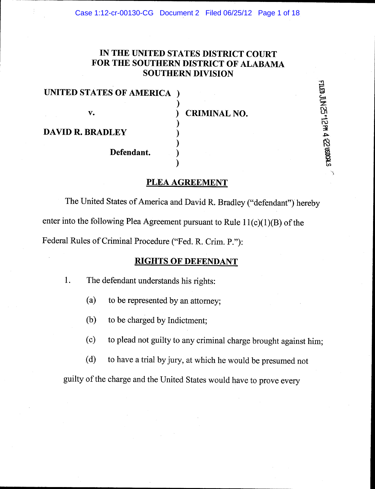# IN THE UNITED STATES DISTRICT COURT FOR THE SOUTHERN DISTRICT OF ALABAMA SOUTHERN DIVISION

| UNITED STATES OF AMERICA ) |  |
|----------------------------|--|
|                            |  |
| v.                         |  |
|                            |  |
| <b>DAVID R. BRADLEY</b>    |  |
|                            |  |

CRIMINAL NO.

(dg s

> ry<br>"0 :g& .<br>P 6 Etf,

Defendant.

### PLEA AGREEMENT

)

)

The United States of America and David R. Bradley ("defendant") hereby enter into the following Plea Agreement pursuant to Rule  $11(c)(1)(B)$  of the Federal Rules of Criminal Procedure ("Fed. R. Crim. P."):

### RIGHTS OF DEFENDANT

1. The defendant understands his rights:

(a) to be represented by an attomey;

(b) to be charged by Indictment;

(c) to plead not guilty to any criminal charge brought against him;

(d) to have a trial by jury, at which he would be presumed not

guilty of the charge and the United States would have to prove every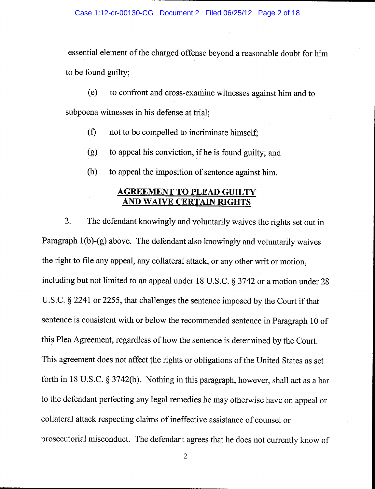essential element of the charged offense beyond a reasonable doubt for him to be found guilty;

(e) to confront and cross-examine witnesses against him and to subpoena witnesses in his defense at trial;

- $(f)$  not to be compelled to incriminate himself;
- (g) to appeal his conviction, if he is found guilty; and
- (h) to appeal the imposition of sentence against him.

### AGREEMENT TO PLEAD GUILTY **AND WAIVE CERTAIN RIGHTS**

2. The defendant knowingly and voluntarily waives the rights set out in Paragraph 1(b)-(g) above. The defendant also knowingly and voluntarily waives the right to file any appeal, any collateral atlack, or any other writ or motion, including but not limited to an appeal under 18 U.S.C. S 3742 or a motion under <sup>28</sup> U.S.C. § 2241 or 2255, that challenges the sentence imposed by the Court if that sentence is consistent with or below the recommended sentence in Paragraph 10 of this Plea Agreement, regardless of how the sentence is determined by the Court. This agreement does not affect the rights or obligations of the United States as set forth in 18 U.S.C. § 3742(b). Nothing in this paragraph, however, shall act as a bar to the defendant perfectingany legal remedies he may otherwise have on appeal or collateral attack respecting claims of ineffective assistance of counsel or prosecutorial misconduct. The defendant agrees that he does not currently know of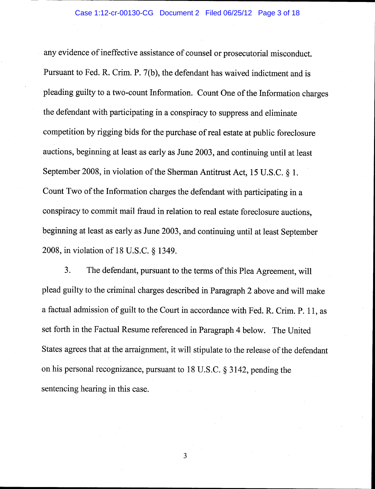any evidence of ineffective assistance of counsel or prosecutorial misconduct. Pursuant to Fed. R. Crim. P. 7(b), the defendant has waived indictment and is pleading guilty to a two-count Information. Count One of the Information charges the defendant with participating in a conspiracy to suppress and eliminate competition by rigging bids for the purchase of real estate at public foreclosure auctions, beginning at least as early as June 2003, and continuing until at least September 2008, in violation of the Sherman Antitrust Act, 15 U.S.C. § 1. Count Two of the Information charges the defendant with participating in <sup>a</sup> conspiracy to commit mail fraud in relation to real estate foreclosure auctions, beginning at least as early as June 2003, and continuing until at least September 2008, in violation of 18 U.S.C. g 1349.

3. The defendant, pursuant to the terms of this Plea Agreement, will plead guilty to the criminal charges described in Paragraph2 above and will make afactual admission of guilt to the Court in accordance with Fed. R. Crim. P. 11, as set forth in the Factual Resume referenced in Paragraph 4 below. The United States agrees that at the arraignment, it will stipulate to the release of the defendant on his personal recognizance, pursuant to 18 U.S.C.  $\S$  3142, pending the sentencing hearing in this case.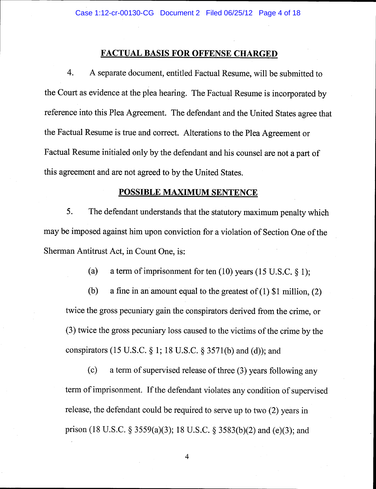# **FACTUAL BASIS FOR OFFENSE CHARGED**

4. <sup>A</sup>separate document, entitled Factual Resume, will be submitted to the Court as evidence at the plea hearing. The Factual Resume is incorporated by reference into this Plea Agreement. The defendant and the United States agree that the Factual Resume is true and correct. Alterations to the Plea Agreement or Factual Resume initialed only by the defendant and his counsel are not a part of this agreement and are not agreed to by the United States.

#### POSSIBLE MAXIMUM SENTENCE

5. The defendant understands that the statutory maximum penalty which may be imposed against him upon conviction for a violation of Section One of the Sherman Antitrust Act, in Count One, is:

(a) a term of imprisonment for ten  $(10)$  years  $(15 \text{ U.S.C. }$  \$ 1);

(b) a fine in an amount equal to the greatest of  $(1)$  \$1 million,  $(2)$ twice the gross pecuniary gain the conspirators derived from the crime, or (3) twice the gross pecuniary loss caused to the victims of the crime by the conspirators (15 U.S.C. \$ 1; 18 U.S.C. g 3571(b) and (d)); and

(c) a term of supervised release of three (3) years following any term of imprisonment. If the defendant violates any condition of supervised release, the defendant could be required to serve up to two (2) years in prison (18 U.S.C. § 3559(a)(3); 18 U.S.C. § 3583(b)(2) and (e)(3); and

 $\overline{4}$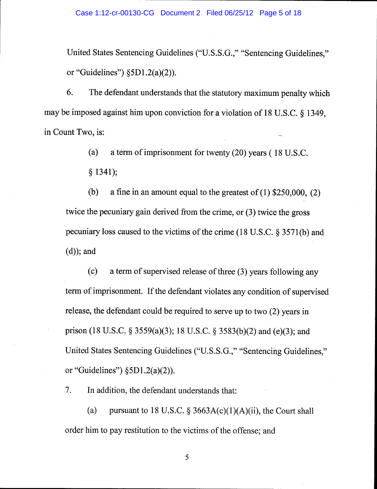United States Sentencing Guidelines ("U.S.S.G.," "Sentencing Guidelines," or "Guidelines")  $\S5D1.2(a)(2)$ .

6. The defendant understands that the statutory maximum penalty which may be imposed against him upon conviction for a violation of 18 U.S.C. \$ 1349, in Count Two, is:

(a) a term of imprisonment for twenty  $(20)$  years ( 18 U.S.C.

\$ 1341);

(b) a fine in an amount equal to the greatest of  $(1)$  \$250,000,  $(2)$ twice the pecuniary gain derived from the crime, or (3) twice the gross pecuniary loss caused to the victims of the crime (18 U.S.C. \$ 3571(b) and (d)); and

(c) a term of supervised release of three (3) years following any term of imprisonment. If the defendant violates any condition of supervised release, the defendant could be required to serve up to two (2) years in prison (18 U.S.C. § 3559(a)(3); 18 U.S.C. § 3583(b)(2) and (e)(3); and United States Sentencing Guidelines ("U.S.S.G.," "Sentencing Guidelines," or "Guidelines")  $\S5D1.2(a)(2)$ .

7. In addition, the defendant understands that:

(a) pursuant to 18 U.S.C.  $\S 3663A(c)(1)(A)(ii)$ , the Court shall order him to pay restitution to the victims of the offense; and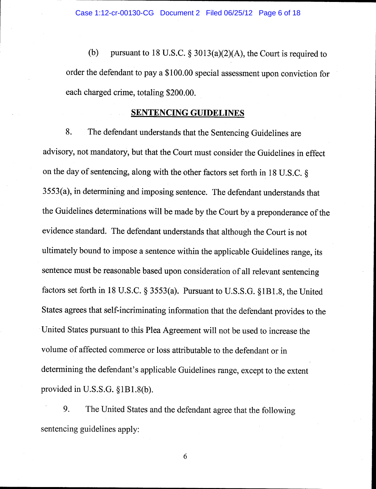(b) pursuant to 18 U.S.C.  $\S 3013(a)(2)(A)$ , the Court is required to order the defendant to pay a\$100.00 special assessment upon conviction for each charged crime, totaling \$200.00.

#### SENTENCING GUIDELINES

8. The defendant understands that the Sentencing Guidelines are advisory, not mandatory, but that the Court must consider the Guidelines in effect on the day of sentencing, along with the other factors set forth in 18 U.S.C. \$ 3553(a), in determining and imposing sentence. The defendant understands that the Guidelines determinations will be made by the Court by a preponderance of the evidence standard. The defendant understands that although the Court is not ultimately bound to impose a sentence within the applicable Guidelines range, its sentence must be reasonable based upon consideration of all relevant sentencing factors set forth in 18 U.S.C. \$ 3553(a). Pursuant to U.S.S.G. \$181.8, the United States agrees that self-incriminating information that the defendant provides to the United States pursuant to this Plea Agreement will not be used to increase the volume of affected commerce or loss attributable to the defendant or in determining the defendant's applicable Guidelines range, except to the extent provided in U.S.S.G. \$181.8(b).

9. The United States and the defendant agree that the following sentencing guidelines apply: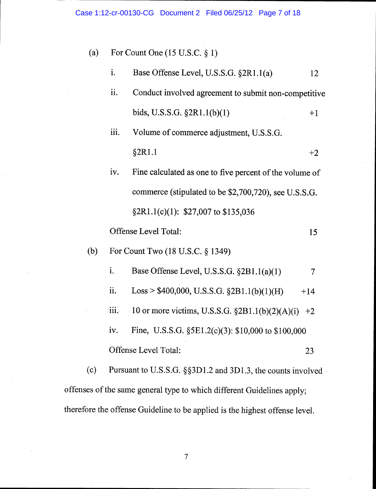| (a) |             | For Count One $(15 \text{ U.S.C. } § 1)$                    |       |  |
|-----|-------------|-------------------------------------------------------------|-------|--|
|     | i.          | Base Offense Level, U.S.S.G. §2R1.1(a)                      | 12    |  |
|     | ii.         | Conduct involved agreement to submit non-competitive        |       |  |
|     |             | bids, U.S.S.G. $\S 2R1.1(b)(1)$                             | $+1$  |  |
|     | iii.        | Volume of commerce adjustment, U.S.S.G.                     |       |  |
|     |             | §2R1.1                                                      | $+2$  |  |
|     | iv.         | Fine calculated as one to five percent of the volume of     |       |  |
|     |             | commerce (stipulated to be \$2,700,720), see U.S.S.G.       |       |  |
|     |             | $$2R1.1(c)(1): $27,007$ to \$135,036                        |       |  |
|     |             | <b>Offense Level Total:</b>                                 | 15    |  |
| (b) |             | For Count Two (18 U.S.C. § 1349)                            |       |  |
|     | $i_{\cdot}$ | Base Offense Level, U.S.S.G. $\S 2B1.1(a)(1)$               | 7     |  |
|     | ii.         | Loss > $$400,000, U.S.S.G. §2B1.1(b)(1)(H)$                 | $+14$ |  |
|     | iii.        | 10 or more victims, U.S.S.G. $\S 2B1.1(b)(2)(A)(i) +2$      |       |  |
|     | iv.         | Fine, U.S.S.G. $\S$ 5E1.2(c)(3): \$10,000 to \$100,000      |       |  |
|     |             | Offense Level Total:                                        | 23    |  |
| (c) |             | Pursuant to U.S.S.G. §§3D1.2 and 3D1.3, the counts involved |       |  |

offenses of the same general type to which different Guidelines apply; therefore the offense Guideline to be applied is the highest offense level.

 $\overline{7}$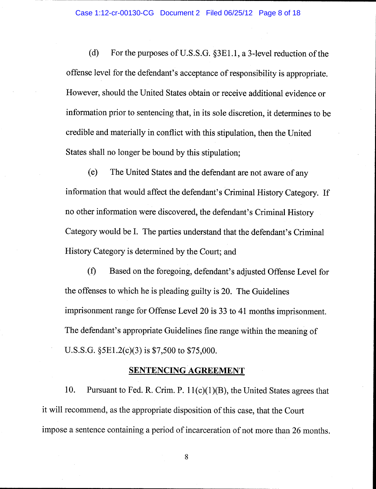(d) For the purposes of U.S.S.G.  $\S 3E1.1$ , a 3-level reduction of the offense level for the defendant's acceptance of responsibility is appropriate. However, should the United States obtain or receive additional evidence or information prior to sentencing that, in its sole discretion, it determines to be credible and materially in conflict with this stipulation, then the United States shall no longer be bound by this stipulation;

(e) The United States and the defendant are not aware of any information that would affect the defendant's Criminal History Category. If no other information were discovered, the defendant's Criminal History Category would be I. The parties understand that the defendant's Criminal History Category is determined by the Court; and

(f) Based on the foregoing, defendant's adjusted Offense Level for the offenses to which he is pleading guilty is 20. The Guidelines imprisonment range for Offense Level 20 is 33 to 41 months imprisonment. The defendant's appropriate Guidelines fine range within the meaning of U.S.S.G.  $$5E1.2(c)(3)$  is \$7,500 to \$75,000.

### SENTENCING AGREEMENT

10. Pursuant to Fed. R. Crim. P.  $11(c)(1)(B)$ , the United States agrees that it will recommend, as the appropriate disposition of this case, that the Court impose a sentence containing a period of incarceration of not more than26 months.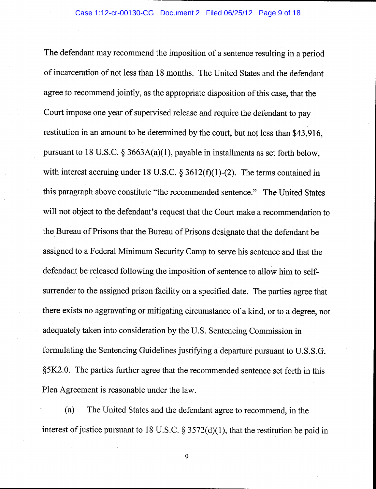The defendant may recommend the imposition of a sentence resulting in a period of incarceration of not less than 18 months. The United States and the defendant agree to recommend jointly, as the appropriate disposition of this case, that the Court impose one year of supervised release and require the defendant to pay restitution in an amount to be determined by the court, but not less than \$43,916, pursuant to 18 U.S.C.  $\S$  3663A(a)(1), payable in installments as set forth below, with interest accruing under 18 U.S.C.  $\S 3612(f)(1)-(2)$ . The terms contained in this paragraph above constitute "the recommended sentence." The United States will not object to the defendant's request that the Court make a recommendation to the Bureau of Prisons that the Bureau of Prisons designate that the defendant be assigned to a Federal Minimum Security Camp to serve his sentence and that the defendant be released following the imposition of sentence to allow him to selfsurrender to the assigned prison facility on a specified date. The parties agree that there exists no aggravating or mitigating circumstance of a kind, or to a degree, not adequately taken into consideration by the U.S. Sentencing Commission in formulating the Sentencing Guidelines justifying a departure pursuant to U.S.S.G. \$5K2.0. The parties further agree that the recommended sentence set forth in this Plea Agreement is reasonable under the law.

(a) The United States and the defendant agree to recommend, in the interest of justice pursuant to 18 U.S.C.  $\S 3572(d)(1)$ , that the restitution be paid in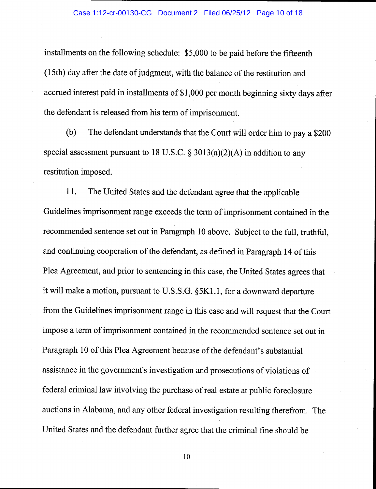installments on the following schedule: \$5,000 to be paid before the fifteenth (15th) day after the date ofjudgment, with the balance of the restitution and accrued interest paid in installments of \$1,000 per month beginning sixty days after the defendant is released from his term of imprisonment.

(b) The defendant understands that the Court will order him to pay a\$200 special assessment pursuant to 18 U.S.C.  $\S 3013(a)(2)(A)$  in addition to any restitution imposed.

11. The United States and the defendant agree that the applicable Guidelines imprisonment range exceeds the term of imprisonment contained in the recommended sentence set out in Paragraph 10 above. Subject to the full, truthful, and continuing cooperation of the defendant, as defined in Paragraph 14 of this Plea Agreement, and prior to sentencing in this case, the United States agrees that it will make a motion, pursuant to U.S.S.G. \$5K1.1, for a downward departure from the Guidelines imprisonment range in this case and will request that the Court impose a term of imprisonment contained in the recommended sentence set out in Paragraph 10 of this Plea Agreement because of the defendant's substantial assistance in the government's investigation and prosecutions of violations of federal criminal law involving the purchase of real estate at public foreclosure auctions in Alabama, and any other federal investigation resulting therefrom. The United States and the defendant further agree that the criminal fine should be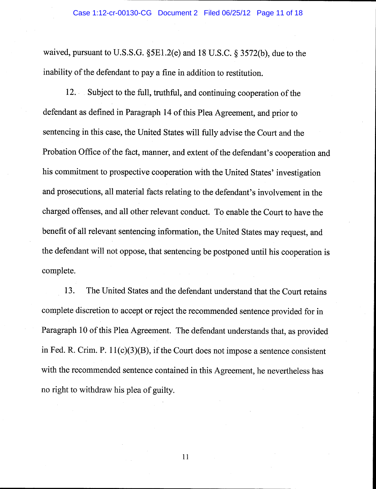waived, pursuant to U.S.S.G.  $\S$ 5E1.2(e) and 18 U.S.C.  $\S$  3572(b), due to the inability of the defendant to pay a fine in addition to restitution.

12. Subject to the full, truthful, and continuing cooperation of the defendant as defined in Paragraph 14 of this Plea Agreement, and prior to sentencing in this case, the United States will fully advise the Court and the Probation Office of the fact, manner, and extent of the defendant's cooperation and his commitment to prospective cooperation with the United States' investigation and prosecutions, all material facts relating to the defendant's involvement in the charged offenses, and all other relevant conduct. To enable the Court to have the benefit of all relevant sentencing information, the United States may request, and the defendant will not oppose, that sentencing be postponed until his cooperation is complete.

13. The United States and the defendant understand that the Court retains complete discretion to accept or reject the recommended sentence provided for in Paragraph 10 of this Plea Agreement. The defendant understands that, as provided in Fed. R. Crim. P. 11(c)(3)(B), if the Court does not impose a sentence consistent with the recommended sentence contained in this Agreement, he nevertheless has no right to withdraw his plea of guilty.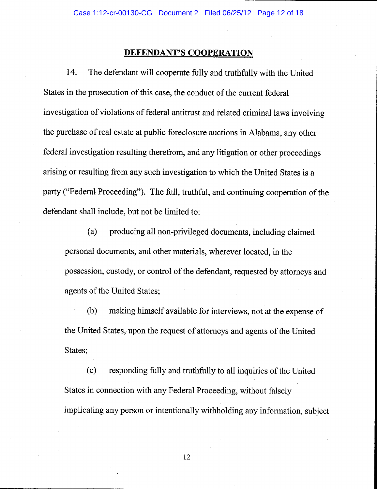### DEFENDANT'S COOPERATION

14. The defendant will cooperate fully and truthfully with the United States in the prosecution of this case, the conduct of the current federal investigation of violations of federal antitrust and related criminal laws involving the purchase of real estate at public foreclosure auctions in Alabama, any other federal investigation resulting therefrom, and any litigation or other proceedings arising or resulting from any such investigation to which the United States is a party ("Federal Proceeding"). The full, truthful, and continuing cooperation of the defendant shall include, but not be limited to:

(a) producing all non-privileged documents, including claimed personal documents, and other materials, wherever located, in the possession, custody, or control of the defendant, requested by attorneys and agents of the United States;

(b) making himself available for interviews, not at the expense of the United States, upon the request of attorneys and agents of the United States;

(c) responding fully and truthfully to all inquiries of the United States in connection with any Federal Proceeding, without falsely implicating any person or intentionally withholding any information, subject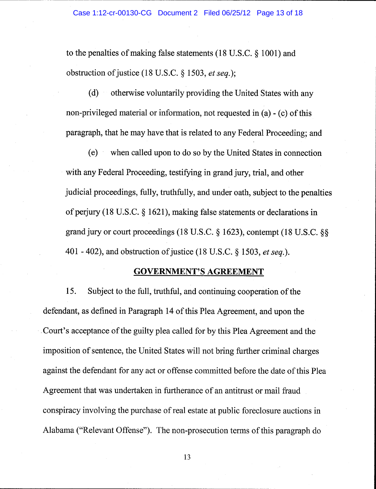to the penalties of making false statements (18 U.S.C.  $\S$  1001) and obstruction of justice (18 U.S.C.  $\S$  1503, et seq.);

 $(d)$  otherwise voluntarily providing the United States with any non-privileged material or information, not requested in (a) - (c) of this paragraph, that he may have that is related to any Federal Proceeding; and

(e) when called upon to do so by the United States in connection with any Federal Proceeding, testifying in grand jury, trial, and other judicial proceedings, fully, truthfully, and under oath, subject to the penalties of perjury (18 U.S.C. \$ 1621), making false statements or declarations in grand jury or court proceedings (18 U.S.C.  $\S$  1623), contempt (18 U.S.C.  $\S$ § 401 - 402), and obstruction of justice (18 U.S.C. § 1503, et seq.).

#### GOVERNMENT'S AGREEMENT

15. Subject to the full, truthful, and continuing cooperation of the defendant, as defined in Paragraph 14 of this Plea Agreement, and upon the Court's acceptance of the guilty plea called for by this Plea Agreement and the imposition of sentence, the United States will not bring further criminal charges against the defendant for any act or offense committed before the date of this Plea Agreement that was undertaken in furtherance of an antitrust or mail fraud conspiracy involving the purchase of real estate at public foreclosure auctions in Alabama ("Relevant Offense"). The non-prosecution terms of this paragraph do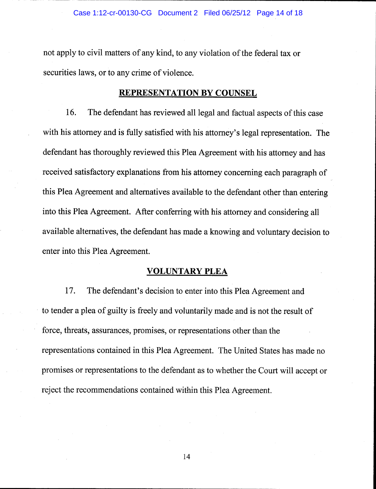not apply to civil matters of any kind, to any violation of the federal tax or securities laws, or to any crime of violence.

#### REPRESENTATION BY COUNSEL

16. The defendant has reviewed all legal and factual aspects of this case with his attorney and is fully satisfied with his attorney's legal representation. The defendant has thoroughly reviewed this Plea Agreement with his attorney and has received satisfactory explanations from his attorney concerning each paragraph of this Plea Agreement and alternatives available to the defendant other than entering into this Plea Agreement. After conferring with his attorney and considering all available alternatives, the defendant has made a knowing and voluntary decision to enter into this Plea Agreement.

#### VOLUNTARY PLEA

17. The defendant's decision to enter into this Plea Agreement and to tender a plea of guilty is freely and voluntarily made and is not the result of force, threats, assurances, promises, or representations other than the representations contained in this Plea Agreement. The United States has made no promises or representations to the defendant as to whether the Court will accept or reject the recommendations contained within this Plea Agreement.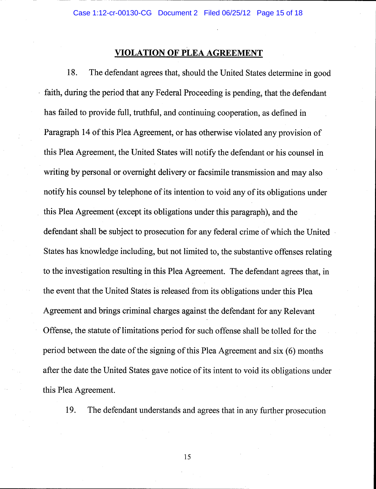# VIOLATION OF PLEA AGREEMENT

18. The defendant agrees that, should the United States determine in good faith, during the period that any Federal Proceeding is pending, that the defendant has failed to provide full, truthful, and continuing cooperation, as defined in Paragraph 14 of this Plea Agreement, or has otherwise violated any provision of this Plea Agreement, the United States will notify the defendant or his counsel in writing by personal or overnight delivery or facsimile transmission and may also notify his counsel by telephone of its intention to void any of its obligations under this Plea Agreement (except its obligations under this paragraph), and the defendant shall be subject to prosecution for any federal crime of which the United States has knowledge including, but not limited to, the substantive offenses relating to the investigation resulting in this Plea Agreement. The defendant agrees that, in the event that the United States is released from its obligations under this Plea Agreement and brings criminal charges against the defendant for any Relevant Offense, the statute of limitations period for such offense shall be tolled for the period between the date of the signing of this Plea Agreement and six (6) months after the date the United States gave notice of its intent to void its obligations under this Plea Agreement.

19. The defendant understands and agrees that in any further prosecution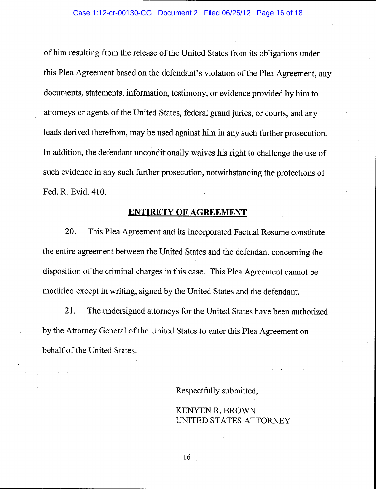of him resulting from the release of the United States from its obligations under this Plea Agreement based on the defendant's violation of the Plea Agreement, any documents, statements, information, testimony, or evidence provided by him to attorneys or agents of the United States, federal grand juries, or courts, and any leads derived therefrom, may be used against him in any such further prosecution. In addition, the defendant unconditionally waives his right to challenge the use of such evidence in any such further prosecution, notwithstanding the protections of Fed. R. Evid.410.

#### ENTIRETY OF AGREEMENT

20. This Plea Agreement and its incorporated Factual Resume constitute the entire agreement between the United States and the defendant concerning the disposition of the criminal charges in this case. This Plea Agreement cannot be modified except in writing, signed by the United States and the defendant.

2I. The undersigned attorneys for the United States have been authorized by the Attorney General of the United States to enter this Plea Agreement on behalf of the United States.

Respectfully submitted,

KENYEN R. BROWN UNITED STATES ATTORNEY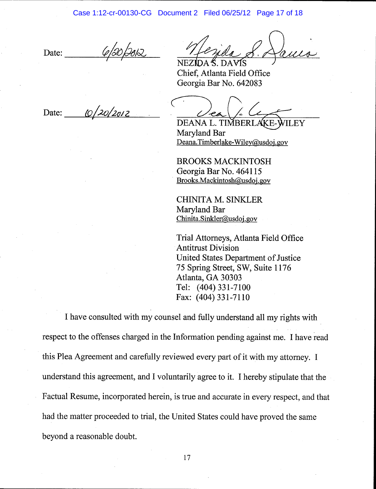Date: 0/20/2012

Chief, Atlanta Field Office Georgia Bar No. 642083

Date:  $\frac{10}{20/2012}$ 

DEANA L. TIMBERLAKE ILEY Marvland Bar Deana.Timberlake-Wiley@usdoj. gov

BROOKS MACKINTOSH Georgia Bar No. 464115 Brooks.Mackintosh@usdoj. gov

CHINITA M. SINKLER Maryland Bar Chinita. Sinkler@usdoj. gov

Trial Attorneys, Atlanta Field Office Antitrust Division United States Department of Justice 75 Spring Street, SW, Suite 1176 Atlanta, GA 30303 Tel: (404) 331-7100 Fax: (404) 331-7110

I have consulted with my counsel and fully understand all my rights with respect to the offenses charged in the Information pending against me. I have read this Plea Agreement and carefully reviewed every part of it with my attorney. I understand this agreement, and I voluntarily agree to it. I hereby stipulate that the Factual Resume, incorporated herein, is true and accurate in every respect, and that had the matter proceeded to trial, the United States could have proved the same beyond a reasonable doubt.